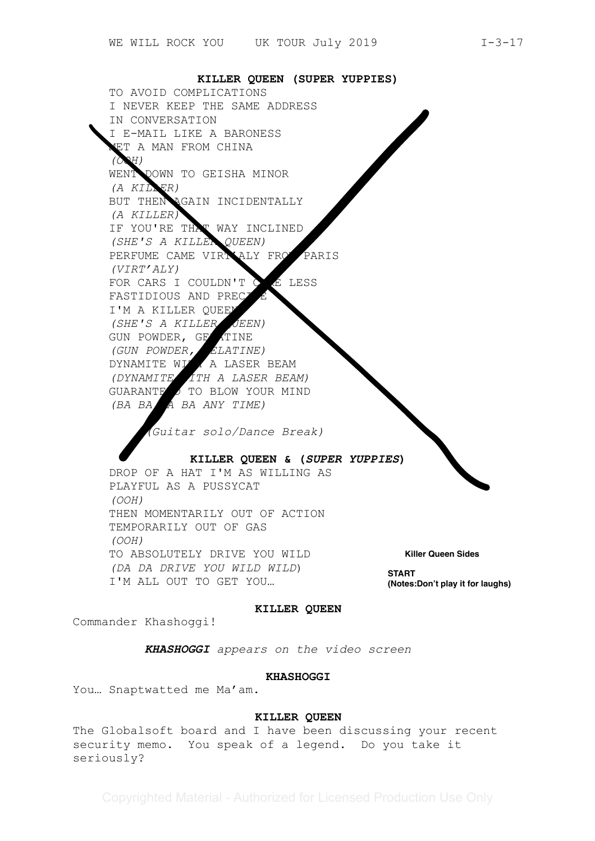**KILLER QUEEN (SUPER YUPPIES)** TO AVOID COMPLICATIONS I NEVER KEEP THE SAME ADDRESS IN CONVERSATION I E-MAIL LIKE A BARONESS ET A MAN FROM CHINA *(OOH)* WENT DOWN TO GEISHA MINOR *(A KILLER)* BUT THEN AGAIN INCIDENTALLY *(A KILLER)* IF YOU'RE THAT WAY INCLINED *(SHE'S A KILLER QUEEN)* PERFUME CAME VIRTIALY FROM PARIS *(VIRT'ALY)* FOR CARS I COULDN'T CARE LESS FASTIDIOUS AND PREC I'M A KILLER QUEEN *(SHE'S A KILLER QUEEN)* GUN POWDER, GELATINE *(GUN POWDER, GELATINE)* DYNAMITE WILL A LASER BEAM *(DYNAMITE WITH A LASER BEAM)* GUARANTE OTO BLOW YOUR MIND *(BA BA BA BA ANY TIME) (Guitar solo/Dance Break)* **KILLER QUEEN & (***SUPER YUPPIES***)**  DROP OF A HAT I'M AS WILLING AS PLAYFUL AS A PUSSYCAT *(OOH)* THEN MOMENTARILY OUT OF ACTION TEMPORARILY OUT OF GAS *(OOH)* TO ABSOLUTELY DRIVE YOU WILD *(DA DA DRIVE YOU WILD WILD*) I'M ALL OUT TO GET YOU… **START Killer Queen Sides<br>START<br>(Notes:Don't play it for laughs)** 

#### **KILLER QUEEN**

Commander Khashoggi!

*KHASHOGGI appears on the video screen* 

#### **KHASHOGGI**

You… Snaptwatted me Ma'am.

#### **KILLER QUEEN**

The Globalsoft board and I have been discussing your recent security memo. You speak of a legend. Do you take it seriously?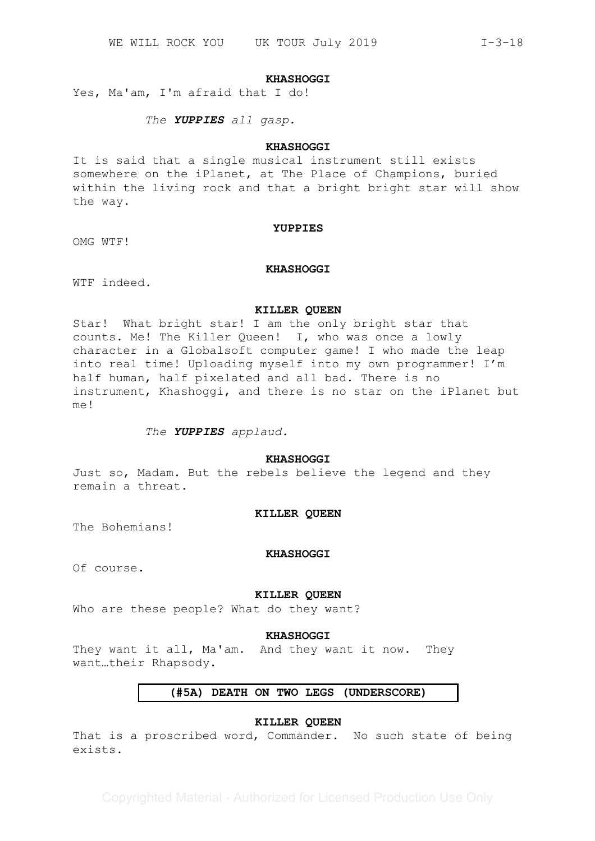#### **KHASHOGGI**

Yes, Ma'am, I'm afraid that I do!

*The YUPPIES all gasp.*

## **KHASHOGGI**

It is said that a single musical instrument still exists somewhere on the iPlanet, at The Place of Champions, buried within the living rock and that a bright bright star will show the way.

#### **YUPPIES**

OMG WTF!

## **KHASHOGGI**

WTF indeed.

#### **KILLER QUEEN**

Star! What bright star! I am the only bright star that counts. Me! The Killer Queen! I, who was once a lowly character in a Globalsoft computer game! I who made the leap into real time! Uploading myself into my own programmer! I'm half human, half pixelated and all bad. There is no instrument, Khashoggi, and there is no star on the iPlanet but  $m \approx 1$ 

## *The YUPPIES applaud.*

## **KHASHOGGI**

Just so, Madam. But the rebels believe the legend and they remain a threat.

#### **KILLER QUEEN**

The Bohemians!

#### **KHASHOGGI**

Of course.

## **KILLER QUEEN**

Who are these people? What do they want?

#### **KHASHOGGI**

They want it all, Ma'am. And they want it now. They want…their Rhapsody.

# **(#5A) DEATH ON TWO LEGS (UNDERSCORE)**

# **KILLER QUEEN**

That is a proscribed word, Commander. No such state of being exists.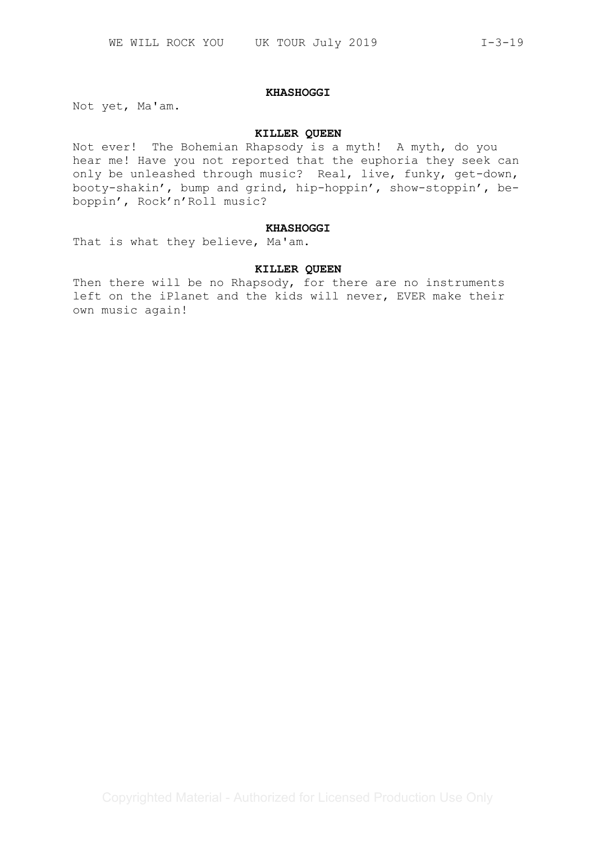#### **KHASHOGGI**

Not yet, Ma'am.

#### **KILLER QUEEN**

Not ever! The Bohemian Rhapsody is a myth! A myth, do you hear me! Have you not reported that the euphoria they seek can only be unleashed through music? Real, live, funky, get-down, booty-shakin', bump and grind, hip-hoppin', show-stoppin', beboppin', Rock'n'Roll music?

## **KHASHOGGI**

That is what they believe, Ma'am.

# **KILLER QUEEN**

Then there will be no Rhapsody, for there are no instruments left on the iPlanet and the kids will never, EVER make their own music again!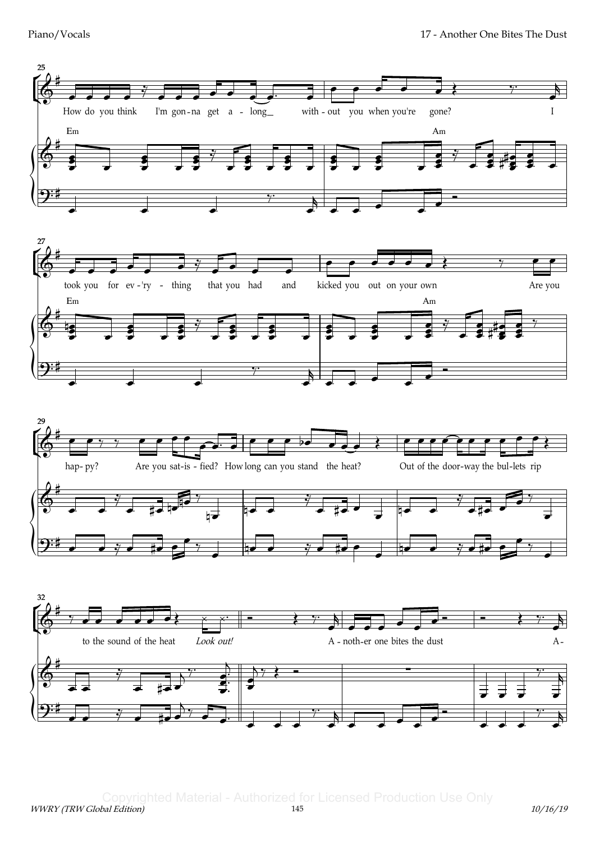







WWRY (TRW Global Edition) 145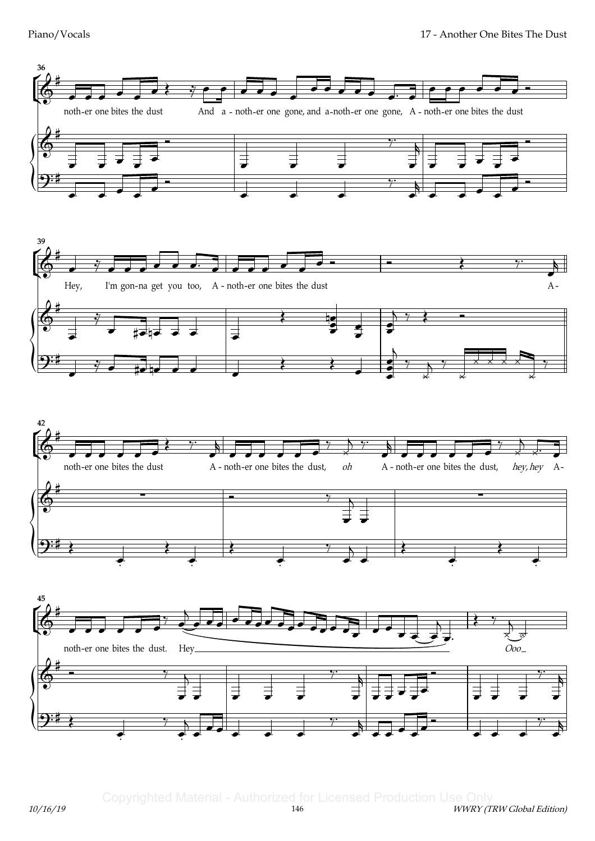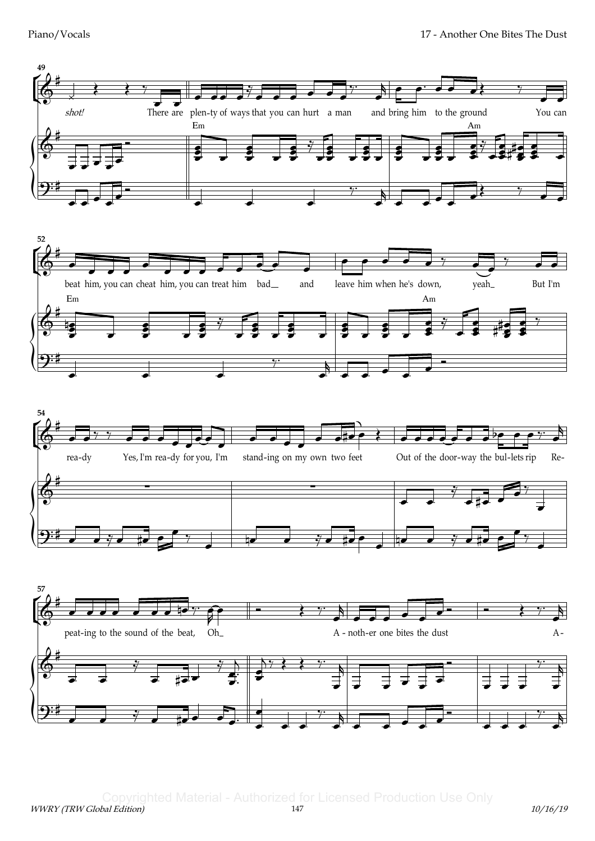Piano/Vocals



WWRY (TRW Global Edition) 147 10/16/19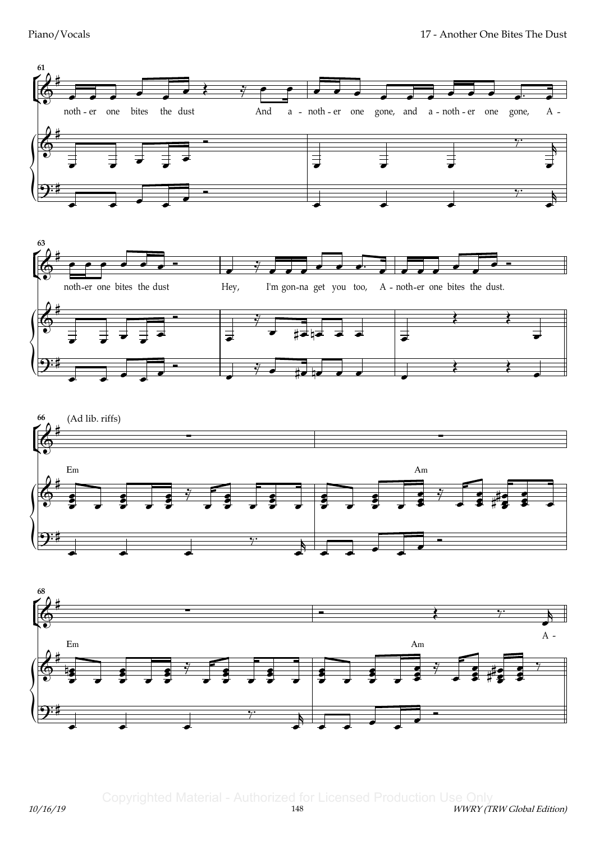